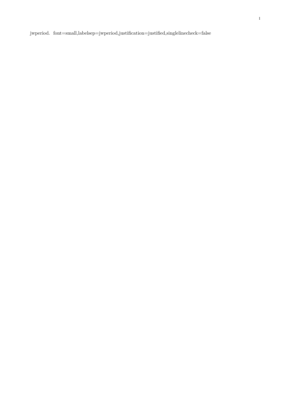${\bf jwperiod. \ \ for \ {\bf =small},} \label{thm:nonlin} {\bf h}$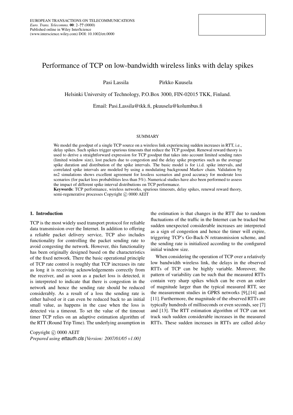# Performance of TCP on low-bandwidth wireless links with delay spikes

Pasi Lassila Pirkko Kuusela

Helsinki University of Technology, P.O.Box 3000, FIN-02015 TKK, Finland.

Email: Pasi.Lassila@tkk.fi, pkuusela@kolumbus.fi

#### SUMMARY

We model the goodput of a single TCP source on a wireless link experiencing sudden increases in RTT, i.e., delay spikes. Such spikes trigger spurious timeouts that reduce the TCP goodput. Renewal reward theory is used to derive a straightforward expression for TCP goodput that takes into account limited sending rates (limited window size), lost packets due to congestion and the delay spike properties such as the average spike duration and distribution of the spike intervals. The basic model is for i.i.d. spike intervals, and correlated spike intervals are modeled by using a modulating background Markov chain. Validation by ns2 simulations shows excellent agreement for lossless scenarios and good accuracy for moderate loss scenarios (for packet loss probabilities less than 5%). Numerical studies have also been performed to assess the impact of different spike interval distributions on TCP performance.

Keywords: TCP performance, wireless networks, spurious timeouts, delay spikes, renewal reward theory, semi-regenerative processes Copyright © 0000 AEIT

## 1. Introduction

TCP is the most widely used transport protocol for reliable data transmission over the Internet. In addition to offering a reliable packet delivery service, TCP also includes functionality for controlling the packet sending rate to avoid congesting the network. However, this functionality has been originally designed based on the characteristics of the fixed network. There the basic operational principle of TCP rate control is roughly that TCP increases its rate as long it is receiving acknowledgements correctly from the receiver, and as soon as a packet loss is detected, it is interpreted to indicate that there is congestion in the network and hence the sending rate should be reduced considerably. As a result of a loss the sending rate is either halved or it can even be reduced back to an initial small value, as happens in the case when the loss is detected via a timeout. To set the value of the timeout timer TCP relies on an adaptive estimation algorithm of the RTT (Round Trip Time). The underlying assumption in

Copyright © 0000 AEIT *Prepared using ettauth.cls [Version: 2007/01/05 v1.00]* the estimation is that changes in the RTT due to random fluctuations of the traffic in the Internet can be tracked but sudden unexpected considerable increases are interpreted as a sign of congestion and hence the timer will expire, triggering TCP's Go-Back-N retransmission scheme, and the sending rate is initialized according to the configured initial window size.

When considering the operation of TCP over a relatively low bandwidth wireless link, the delays in the observed RTTs of TCP can be highly variable. Moreover, the pattern of variability can be such that the measured RTTs contain very sharp spikes which can be even an order of magnitude larger than the typical measured RTT, see the measurement studies in GPRS networks [9],[14] and [11]. Furthermore, the magnitude of the observed RTTs are typically hundreds of milliseconds or even seconds, see [7] and [13]. The RTT estimation algorithm of TCP can not track such sudden considerable increases in the measured RTTs. These sudden increases in RTTs are called *delay*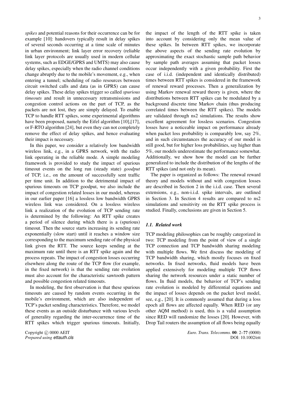*spikes* and potential reasons for their occurrence can be for example [10]: handovers typically result in delay spikes of several seconds occurring at a time scale of minutes in urban environment; link layer error recovery (reliable link layer protocols are usually used in modern cellular systems, such as EDGE/GPRS and UMTS) may also cause delay spikes, especially when the radio channel conditions change abruptly due to the mobile's movement, e.g., when entering a tunnel; scheduling of radio resources between circuit switched calls and data (as in GPRS) can cause delay spikes. These delay spikes trigger so called *spurious timeouts* and result in unnecessary retransmissions and congestion control actions on the part of TCP, as the packets are not lost, they are simply delayed. To enable TCP to handle RTT spikes, some experimental algorithms have been proposed, namely the Eifel algorithm [10],[17], or F-RTO algorithm [24], but even they can not completely remove the effect of delay spikes, and hence evaluating their impact is necessary.

In this paper, we consider a relatively low bandwidth wireless link, e.g., in a GPRS network, with the radio link operating in the reliable mode. A simple modeling framework is provided to study the impact of spurious timeout events on the long run (steady state) *goodput* of TCP, i.e., on the amount of successfully sent traffic per time unit. In addition to the detrimental impact of spurious timeouts on TCP goodput, we also include the impact of congestion related losses in our model, whereas in our earlier paper [16] a lossless low bandwidth GPRS wireless link was considered. On a lossless wireless link a realization of the evolution of TCP sending rate is determined by the following: An RTT spike creates a period of silence during which there is a (spurious) timeout. Then the source starts increasing its sending rate exponentially (slow start) until it reaches a window size corresponding to the maximum sending rate of the physical link given the RTT. The source keeps sending at the maximum rate until there is an RTT spike again and the process repeats. The impact of congestion losses occurring elsewhere along the route of the TCP flow (for example, in the fixed network) is that the sending rate evolution must also account for the characteristic sawtooth pattern and possible congestion related timeouts.

In modeling, the first observation is that these spurious timeouts are caused by random events occurring in the mobile's environment, which are also independent of TCP's packet sending characteristics. Therefore, we model these events as an outside disturbance with various levels of generality regarding the inter-occurrence time of the RTT spikes which trigger spurious timeouts. Initially,

Copyright © 0000 AEIT *Prepared using ettauth.cls* the impact of the length of the RTT spike is taken into account by considering only the mean value of these spikes. In between RTT spikes, we incorporate the above aspects of the sending rate evolution by approximating the exact stochastic sample path behavior by sample path averages assuming that packet losses occur independently with a given probability. First the case of i.i.d. (independent and identically distributed) times between RTT spikes is considered in the framework of renewal reward processes. Then a generalization by using Markov renewal reward theory is given, where the distributions between RTT spikes can be modulated by a background discrete time Markov chain (thus producing correlated times between the RTT spikes). The models are validated through ns2 simulations. The results show excellent agreement for lossless scenarios. Congestion losses have a noticeable impact on performance already when packet loss probability is comparably low, say 2%, and in such circumstances the accuracy of our model is still good, but for higher loss probabilities, say higher than 5%, our models underestimate the performance somewhat. Additionally, we show how the model can be further generalized to include the distribution of the lengths of the RTT spikes (and not only its mean).

The paper is organized as follows: The renewal reward theory and models without and with congestion losses are described in Section 2 in the i.i.d. case. Then several extensions, e.g., non-i.i.d. spike intervals, are outlined in Section 3. In Section 4 results are compared to ns2 simulations and sensitivity on the RTT spike process is studied. Finally, conclusions are given in Section 5.

### *1.1. Related work*

TCP modeling philosophies can be roughly categorized in two: TCP modeling from the point of view of a single TCP connection and TCP bandwidth sharing modeling with multiple flows. We first discuss the modeling of TCP bandwidth sharing, which mostly focuses on fixed networks. In fixed networks, fluid models have been applied extensively for modeling multiple TCP flows sharing the network resources under a static number of flows. In fluid models, the behavior of TCP's sending rate evolution is modeled by differential equations and the impact of losses depends on the packet level model, see, e.g., [20]. It is commonly assumed that during a loss epoch all flows are affected equally. When RED (or any other AQM method) is used, this is a valid assumption since RED will randomize the losses [20]. However, with Drop Tail routers the assumption of all flows being equally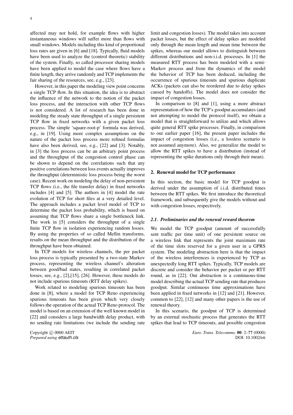affected may not hold, for example flows with higher instantaneous windows will suffer more than flows with small windows. Models including this kind of proportional loss rates are given in [6] and [18]. Typically, fluid models have been used to analyze the (control theoretic) stability of the system. Finally, so called processor sharing models have been applied to model the case where flows have a finite length, they arrive randomly and TCP implements the fair sharing of the resources, see, e.g., [23].

However, in this paper the modeling view point concerns a single TCP flow. In this situation, the idea is to abstract the influence of the network to the notion of the packet loss process, and the interaction with other TCP flows is not considered. A lot of research has been done in modeling the steady state throughput of a single persistent TCP flow in fixed networks with a given packet loss process. The simple 'square-root-p' formula was derived, e.g., in [19]. Using more complex assumptions on the nature of the packet loss process more refined formulas have also been derived, see, e.g., [22] and [3]. Notably, in [3] the loss process can be an arbitrary point process and the throughput of the congestion control phase can be shown to depend on the correlations such that any positive correlations between loss events actually improves the throughput (deterministic loss process being the worst case). Recent work on modeling the delay of non-persistent TCP flows (i.e., the file transfer delay) in fixed networks includes [4] and [5]. The authors in [4] model the rate evolution of TCP for short files at a very detailed level. The approach includes a packet level model of TCP to determine the packet loss probability, which is based on assuming that TCP flows share a single bottleneck link. The work in [5] considers the throughput of a single finite TCP flow in isolation experiencing random losses. By using the properties of so called Mellin transforms, results on the mean throughput and the distribution of the throughput have been obtained.

In TCP models for wireless channels, the per packet loss process is typically presented by a two-state Markov process, representing the wireless channel's alteration between good/bad states, resulting in correlated packet losses, see, e.g., [2],[15], [26]. However, these models do not include spurious timeouts (RTT delay spikes).

Work related to modeling spurious timeouts has been done in [8], where a model for TCP Reno experiencing spurious timeouts has been given which very closely follows the operation of the actual TCP Reno protocol. The model is based on an extension of the well known model in [22] and considers a large bandwidth delay product, with no sending rate limitations (we include the sending rate

Copyright © 0000 AEIT *Prepared using ettauth.cls* limit and congestion losses). The model takes into account packet losses, but the effect of delay spikes are modeled only through the mean length and mean time between the spikes, whereas our model allows to distinguish between different distributions and non-i.i.d. processes. In [1] the measured RTT process has been modeled with a semi-Markov process and from the dynamics of the model the behavior of TCP has been deduced, including the occurrence of spurious timeouts and spurious duplicate ACKs (packets can also be reordered due to delay spikes caused by handoffs). The model does not consider the impact of congestion losses.

In comparison to [8] and [1], using a more abstract representation of how the TCP's goodput accumulates (and not attempting to model the protocol itself), we obtain a model that is straightforward to utilize and which allows quite general RTT spike processes. Finally, in comparison to our earlier paper [16], the present paper includes the impact of congestion losses (i.e., a lossless scenario is not assumed anymore). Also, we generalize the model to allow the RTT spikes to have a distribution (instead of representing the spike durations only through their mean).

#### 2. Renewal model for TCP performance

In this section, the basic model for TCP goodput is derived under the assumption of i.i.d. distributed times between the RTT spikes. We first introduce the theoretical framework, and subsequently give the models without and with congestion losses, respectively.

#### *2.1. Preliminaries and the renewal reward theorem*

We model the TCP goodput (amount of successfully sent traffic per time unit) of one persistent source on a wireless link that represents the joint maximum rate of the time slots reserved for a given user in a GPRS system. The modeling abstraction here is that the impact of the wireless interferences is experienced by TCP as unexpectedly long RTT spikes. Typically, TCP models are discrete and consider the behavior per packet or per RTT round, as in [22]. Our abstraction is a continuous-time model describing the actual TCP sending rate that produces goodput. Similar continuous time approximations have been applied in fixed networks in [12] and [21]. However, common to [22], [12] and many other papers is the use of renewal theory.

In this scenario, the goodput of TCP is determined by an external stochastic process that generates the RTT spikes that lead to TCP timeouts, and possible congestion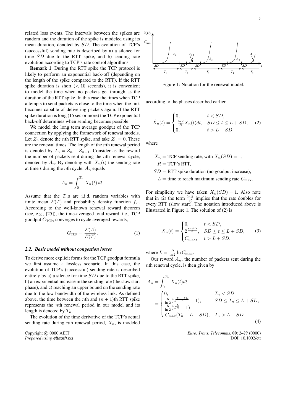related loss events. The intervals between the spikes are random and the duration of the spike is modeled using its mean duration, denoted by SD. The evolution of TCP's (successful) sending rate is described by a) a silence for time SD due to the RTT spike, and b) sending rate evolution according to TCP's rate control algorithms.

Remark 1: During the RTT spike the TCP protocol is likely to perform an exponential back-off (depending on the length of the spike compared to the RTT). If the RTT spike duration is short  $(< 10$  seconds), it is convenient to model the time when no packets get through as the duration of the RTT spike. In this case the times when TCP attempts to send packets is close to the time when the link becomes capable of delivering packets again. If the RTT spike duration is long (15 sec or more) the TCP exponential back-off determines when sending becomes possible.

We model the long term average goodput of the TCP connection by applying the framework of renewal models. Let  $Z_n$  denote the *n*th RTT spike, and take  $Z_0 = 0$ . These are the renewal times. The length of the nth renewal period is denoted by  $T_n = Z_n - Z_{n-1}$ . Consider as the reward the number of packets sent during the nth renewal cycle, denoted by  $A_n$ . By denoting with  $X_n(t)$  the sending rate at time t during the nth cycle,  $A_n$  equals

$$
A_n = \int_0^{T_n} X_n(t) dt.
$$

Assume that the  $T_n$ s are i.i.d. random variables with finite mean  $E(T)$  and probability density function  $f_T$ . According to the well-known renewal reward theorem (see, e.g., [25]), the time-averaged total reward, i.e., TCP goodput  $G_{\text{TCP}}$ , converges to cycle averaged rewards,

$$
G_{\text{TCP}} = \frac{E(A)}{E(T)}.\tag{1}
$$

## *2.2. Basic model without congestion losses*

To derive more explicit forms for the TCP goodput formula we first assume a lossless scenario. In this case, the evolution of TCP's (successful) sending rate is described entirely by a) a silence for time SD due to the RTT spike, b) an exponential increase in the sending rate (the slow start phase), and c) reaching an upper bound on the sending rate due to the low bandwidth of the wireless link. As defined above, the time between the *n*th and  $(n + 1)$ th RTT spike represents the nth renewal period in our model and its length is denoted by  $T_n$ .

The evolution of the time derivative of the TCP's actual sending rate during nth renewal period,  $X_n$ , is modeled

Copyright  $\odot$  0000 AEIT *Prepared using ettauth.cls*



Figure 1: Notation for the renewal model.

according to the phases described earlier

$$
\dot{X}_n(t) = \begin{cases}\n0, & t < SD, \\
\frac{\ln 2}{R} X_n(t) dt, & SD \le t \le L + SD, \\
0, & t > L + SD,\n\end{cases}
$$
\n(2)

where

 $X_n = TCP$  sending rate, with  $X_n(SD) = 1$ ,  $R = TCP's RTT$ .

 $SD = RTT$  spike duration (no goodput increase).

 $L =$  time to reach maximum sending rate  $C_{\text{max}}$ .

For simplicity we have taken  $X_n(SD) = 1$ . Also note that in (2) the term  $\frac{\ln 2}{R}$  implies that the rate doubles for every RTT (slow start). The notation introduced above is illustrated in Figure 1. The solution of (2) is

$$
X_n(t) = \begin{cases} 0, & t < SD, \\ 2^{\frac{t - SD}{R}}, & SD \le t \le L + SD, \\ C_{\text{max}}, & t > L + SD, \end{cases} \tag{3}
$$

where  $L = \frac{R}{\ln 2} \ln C_{\text{max}}$ .

Our reward  $A_n$ , the number of packets sent during the nth renewal cycle, is then given by

$$
A_n = \int_0^{T_n} X_n(t)dt
$$
  
= 
$$
\begin{cases} 0, & T_n < SD, \\ \frac{R}{\ln 2} (2^{\frac{T_n - SD}{R}} - 1), & SD \le T_n \le L + SD, \\ \frac{R}{\ln 2} (2^{\frac{L}{R}} - 1) + \\ C_{\max}(T_n - L - SD), & T_n > L + SD. \end{cases}
$$
(4)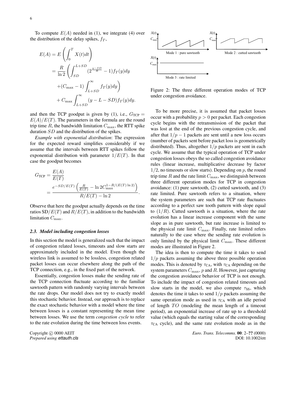To compute  $E(A)$  needed in (1), we integrate (4) over the distribution of the delay spikes,  $f<sub>T</sub>$ ,

$$
E(A) = E\left(\int_0^T X(t)dt\right)
$$
  
=  $\frac{R}{\ln 2} \left(\int_{SD}^{L+SD} (2^{\frac{y-SD}{R}} - 1) f_T(y) dy$   
+  $(C_{\max} - 1) \int_{L+SD}^{\infty} f_T(y) dy\right)$   
+  $C_{\max} \int_{L+SD}^{\infty} (y - L - SD) f_T(y) dy.$ 

and then the TCP goodput is given by (1), i.e.,  $G_{\text{TCP}} =$  $E(A)/E(T)$ . The parameters in the formula are the round trip time  $R$ , the bandwidth limitation  $C_{\text{max}}$ , the RTT spike duration SD and the distribution of the spikes.

*Example with exponential distribution*: The expression for the expected reward simplifies considerably if we assume that the intervals between RTT spikes follow the exponential distribution with parameter  $1/E(T)$ . In that case the goodput becomes

$$
G_{\text{TCP}} = \frac{E(A)}{E(T)}
$$
  
= 
$$
\frac{e^{-SD/E(T)} \left( \frac{R}{E(T)} - \ln 2C_{\text{max}}^{1-R/(E(T) \ln 2)} \right)}{R/E(T) - \ln 2}.
$$

Observe that here the goodput actually depends on the time ratios  $SD/E(T)$  and  $R/E(T)$ , in addition to the bandwidth limitation  $C_{\text{max}}$ .

#### *2.3. Model including congestion losses*

In this section the model is generalized such that the impact of congestion related losses, timeouts and slow starts are approximately included in the model. Even though the wireless link is assumed to be lossless, congestion related packet losses can occur elsewhere along the path of the TCP connection, e.g., in the fixed part of the network.

Essentially, congestion losses make the sending rate of the TCP connection fluctuate according to the familiar sawtooth pattern with randomly varying intervals between the rate drops. Our model does not try to exactly model this stochastic behavior. Instead, our approach is to replace the exact stochastic behavior with a model where the time between losses is a constant representing the mean time between losses. We use the term *congestion cycle* to refer to the rate evolution during the time between loss events.

Copyright  $\odot$  0000 AEIT *Prepared using ettauth.cls*



Figure 2: The three different operation modes of TCP under congestion avoidance.

To be more precise, it is assumed that packet losses occur with a probability  $p > 0$  per packet. Each congestion cycle begins with the retransmission of the packet that was lost at the end of the previous congestion cycle, and after that  $1/p - 1$  packets are sent until a new loss occurs (number of packets sent before packet loss is geometrically distributed). Thus, altogether  $1/p$  packets are sent in each cycle. We assume that the typical operation of TCP under congestion losses obeys the so called congestion avoidance rules (linear increase, multiplicative decrease by factor  $1/2$ , no timeouts or slow starts). Depending on p, the round trip time  $R$  and the rate limit  $C_{\text{max}}$ , we distinguish between three different operation modes for TCP in congestion avoidance: (1) pure sawtooth, (2) cutted sawtooth, and (3) rate limited. Pure sawtooth refers to a situation, where the system parameters are such that TCP rate fluctuates according to a perfect saw tooth pattern with slope equal to  $(1/R)$ . Cutted sawtooth is a situation, where the rate evolution has a linear increase component with the same slope as in pure sawtooth, but rate increase is limited to the physical rate limit  $C_{\text{max}}$ . Finally, rate limited refers naturally to the case where the sending rate evolution is only limited by the physical limit  $C_{\text{max}}$ . These different modes are illustrated in Figure 2.

The idea is then to compute the time it takes to send  $1/p$  packets assuming the above three possible operation modes. This is denoted by  $\tau_{CA}$ , with  $\tau_{CA}$  depending on the system parameters  $C_{\text{max}}$ , p and R. However, just capturing the congestion avoidance behavior of TCP is not enough. To include the impact of congestion related timeouts and slow starts in the model, we also compute  $\tau_{SS}$ , which denotes the time it takes to send  $1/p$  packets assuming the same operation mode as used in  $\tau_{CA}$  with an idle period of length  $TO$  (modeling the mean length of a timeout period), an exponential increase of rate up to a threshold value (which equals the starting value of the corresponding  $\tau_{CA}$  cycle), and the same rate evolution mode as in the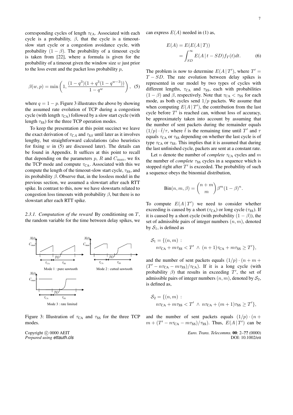corresponding cycles of length  $\tau_{CA}$ . Associated with each cycle is a probability,  $\beta$ , that the cycle is a timeoutslow start cycle or a congestion avoidance cycle, with probability  $(1 - \beta)$ . The probability of a timeout cycle is taken from [22], where a formula is given for the probability of a timeout given the window size  $w$  just prior to the loss event and the packet loss probability  $p$ ,

$$
\beta(w, p) = \min\left(1, \frac{(1 - q^3)(1 + q^3(1 - q^{w-3}))}{1 - q^w}\right), \tag{5}
$$

where  $q = 1 - p$ . Figure 3 illustrates the above by showing the assumed rate evolution of TCP during a congestion cycle (with length  $\tau_{CA}$ ) followed by a slow start cycle (with length  $\tau_{SS}$ ) for the three TCP operation modes.

To keep the presentation at this point succinct we leave the exact derivation of  $\tau_{CA}$  and  $\tau_{SS}$  until later as it involves lengthy, but straightforward calculations (also heuristics for fixing  $w$  in (5) are discussed later). The details can be found in Appendix. It suffices at this point to recall that depending on the parameters  $p$ ,  $R$  and  $C_{\text{max}}$ , we fix the TCP mode and compute  $\tau_{CA}$ . Associated with this we compute the length of the timeout-slow start cycle,  $\tau_{SS}$ , and its probability  $\beta$ . Observe that, in the lossless model in the previous section, we assumed a slowstart after each RTT spike. In contrast to this, now we have slowstarts related to congestion loss timeouts with probability  $\beta$ , but there is no slowstart after each RTT spike.

*2.3.1. Computation of the reward* By conditioning on T, the random variable for the time between delay spikes, we



Figure 3: Illustration of  $\tau_{CA}$  and  $\tau_{SS}$  for the three TCP modes.

Copyright © 0000 AEIT *Prepared using ettauth.cls* can express  $E(A)$  needed in (1) as,

$$
E(A) = E(E(A | T))
$$
  
= 
$$
\int_{SD}^{\infty} E(A | t - SD) f_T(t) dt.
$$
 (6)

The problem is now to determine  $E(A | T')$ , where  $T' =$  $T - SD$ . The rate evolution between delay spikes is represented in our model by two types of cycles with different lengths,  $\tau_{CA}$  and  $\tau_{SS}$ , each with probabilities  $(1 - \beta)$  and  $\beta$ , respectively. Note that  $\tau_{CA} < \tau_{SS}$  for each mode, as both cycles send  $1/p$  packets. We assume that when computing  $E(A | T')$ , the contribution from the last cycle before  $T'$  is reached can, without loss of accuracy, be approximately taken into account by assuming that the number of sent packets during the remainder equals  $(1/p) \cdot \tilde{t}/\tau$ , where  $\tilde{t}$  is the remaining time until T' and  $\tau$ equals  $\tau_{CA}$  or  $\tau_{SS}$  depending on whether the last cycle is of type  $\tau_{CA}$  or  $\tau_{SS}$ . This implies that it is assumed that during the last unfinished cycle, packets are sent at a constant rate.

Let *n* denote the number of *complete*  $\tau_{CA}$  cycles and *m* the number of *complete*  $\tau_{SS}$  cycles in a sequence which is stopped right after  $T'$  is exceeded. The probability of such a sequence obeys the binomial distribution,

$$
Bin(n, m, \beta) = {n + m \choose m} \beta^m (1 - \beta)^n.
$$

To compute  $E(A | T')$  we need to consider whether exceeding is caused by a short ( $\tau_{CA}$ ) or long cycle ( $\tau_{SS}$ ). If it is caused by a short cycle (with probability  $(1 - \beta)$ ), the set of admissible pairs of integer numbers  $(n, m)$ , denoted by  $S_1$ , is defined as

$$
S_1 = \{(n, m) : n\tau_{CA} + m\tau_{SS} < T' \land (n+1)\tau_{CA} + m\tau_{SS} \geq T'\},
$$

and the number of sent packets equals  $(1/p) \cdot (n + m +$  $(T' - n\tau_{CA} - m\tau_{SS})/\tau_{CA})$ . If it is a long cycle (with probability  $\beta$ ) that results in exceeding T', the set of admissible pairs of integer numbers  $(n, m)$ , denoted by  $S_2$ , is defined as,

$$
S_2 = \{(n, m) : n\tau_{\text{CA}} + m\tau_{\text{SS}} < T' \land n\tau_{\text{CA}} + (m+1)\tau_{\text{SS}} \geq T'\},
$$

and the number of sent packets equals  $(1/p) \cdot (n +$  $m + (T' - n\tau_{CA} - m\tau_{SS})/\tau_{SS})$ . Thus,  $E(A|T')$  can be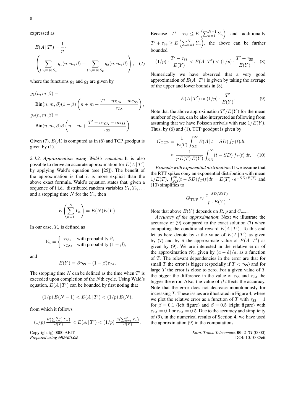expressed as

$$
E(A | T') = \frac{1}{p} \cdot \left( \sum_{(n,m) \in S_1} g_1(n, m, \beta) + \sum_{(n,m) \in S_2} g_2(n, m, \beta) \right), \quad (7)
$$

where the functions  $g_1$  and  $g_2$  are given by

$$
g_1(n, m, \beta) =
$$
  
\n
$$
Bin(n, m, \beta)(1 - \beta) \left( n + m + \frac{T' - n\tau_{CA} - m\tau_{SS}}{\tau_{CA}} \right)
$$
  
\n
$$
g_2(n, m, \beta) =
$$
  
\n
$$
Bin(n, m, \beta) \beta \left( n + m + \frac{T' - n\tau_{CA} - m\tau_{SS}}{\tau_{SS}} \right).
$$

,

Given (7),  $E(A)$  is computed as in (6) and TCP goodput is given by  $(1)$ .

*2.3.2. Approximation using Wald's equation* It is also possible to derive an accurate approximation for  $E(A | T')$ by applying Wald's equation (see [25]). The benefit of the approximation is that it is more explicit than the above exact formula. Wald's equation states that, given a sequence of i.i.d. distributed random variables  $Y_1, Y_2, \ldots$ and a stopping time  $N$  for the  $Y_n$ , then

$$
E\left(\sum_{n=1}^{N} Y_n\right) = E(N)E(Y).
$$

In our case,  $Y_n$  is defined as

$$
Y_n = \begin{cases} \tau_{\text{SS}}, & \text{with probability } \beta, \\ \tau_{\text{CA}}, & \text{with probability } (1 - \beta), \end{cases}
$$

and

$$
E(Y) = \beta \tau_{SS} + (1 - \beta) \tau_{CA}.
$$

The stopping time  $N$  can be defined as the time when  $T'$  is exceeded upon completion of the Nth cycle. Using Wald's equation,  $E(A | T')$  can be bounded by first noting that

$$
(1/p) E(N-1) < E(A \,|\, T') < (1/p) E(N),
$$

from which it follows

$$
(1/p) \frac{E\left(\sum_{n=1}^{N-1} Y_n\right)}{E(Y)} < E(A \,|\, T') < (1/p) \frac{E\left(\sum_{n=1}^{N} Y_n\right)}{E(Y)}.
$$

Copyright © 0000 AEIT *Prepared using ettauth.cls* Because  $T' - \tau_{SS} \leq E\left(\sum_{n=1}^{N-1} Y_n\right)$ ´ and additionally  $T' + \tau_{SS} \ge E\left(\sum_{n=1}^{N} \right)$  $\sum_{n=1}^N Y_n$ ´ , the above can be further bounded

$$
(1/p) \cdot \frac{T' - \tau_{SS}}{E(Y)} < E(A \, | \, T') < (1/p) \cdot \frac{T' + \tau_{SS}}{E(Y)}.\tag{8}
$$

Numerically we have observed that a very good approximation of  $E(A | T')$  is given by taking the average of the upper and lower bounds in (8),

$$
E(A | T') \approx (1/p) \cdot \frac{T'}{E(Y)}.
$$
 (9)

Note that the above approximation  $T'/E(Y)$  for the mean number of cycles, can be also interpreted as following from assuming that we have Poisson arrivals with rate  $1/E(Y)$ . Thus, by (6) and (1), TCP goodput is given by

$$
G_{\text{TCP}} = \frac{1}{E(T)} \int_{SD}^{\infty} E(A | t - SD) f_T(t) dt
$$

$$
\approx \frac{1}{p E(T) E(Y)} \int_{SD}^{\infty} (t - SD) f_T(t) dt. \quad (10)
$$

*Example with exponential distribution*: If we assume that the RTT spikes obey an exponential distribution with mean the K<sub>I</sub> I spike<br> $1/E(T)$ ,  $\int_{ST}^{\infty}$  $\sum_{SD}^{\infty} (t - SD) f_T(t) dt = E(T) \cdot e^{-SD/E(T)}$  and (10) simplifies to

$$
G_{\rm TCP} \approx \frac{e^{-SD/E(T)}}{p \cdot E(Y)}.
$$

Note that above  $E(Y)$  depends on R, p and  $C_{\text{max}}$ .

*Accuracy of the approximation*: Next we illustrate the accuracy of (9) compared to the exact solution (7) when computing the conditional reward  $E(A | T')$ . To this end let us here denote by a the value of  $E(A | T')$  as given by (7) and by  $\hat{a}$  the approximate value of  $E(A | T')$  as given by (9). We are interested in the relative error of the approximation (9), given by  $(a - \hat{a})/a$ , as a function of T. The relevant dependencies in the error are that for small T the error is bigger (especially if  $T < \tau_{SS}$ ) and for large  $T$  the error is close to zero. For a given value of  $T$ the bigger the difference in the value of  $\tau_{SS}$  and  $\tau_{CA}$  the bigger the error. Also, the value of  $\beta$  affects the accuracy. Note that the error does not decrease monotonously for increasing  $T$ . These issues are illustrated in Figure 4, where we plot the relative error as a function of T with  $\tau_{SS} = 1$ for  $\beta = 0.1$  (left figure) and  $\beta = 0.5$  (right figure) with  $\tau_{CA} = 0.1$  or  $\tau_{CA} = 0.5$ . Due to the accuracy and simplicity of (9), in the numerical results of Section 4, we have used the approximation (9) in the computations.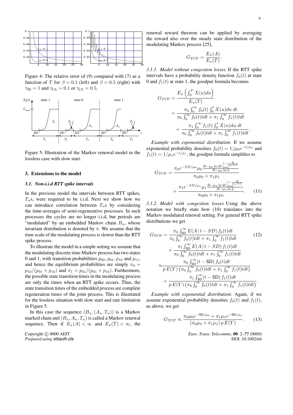

Figure 4: The relative error of (9) compared with (7) as a function of T for  $\beta = 0.1$  (left) and  $\beta = 0.5$  (right) with  $\tau_{SS} = 1$  and  $\tau_{CA} = 0.1$  or  $\tau_{CA} = 0.5$ .



Figure 5: Illustration of the Markov renewal model in the lossless case with slow start.

#### 3. Extensions to the model

### *3.1. Non-i.i.d RTT spike intervals*

In the previous model the intervals between RTT spikes,  $T_n$ s, were required to be i.i.d. Next we show how we can introduce correlation between  $T_n$ s by considering the time-averages of semi-regenerative processes. In such processes the cycles are no longer i.i.d, but periods are "modulated" by an embedded Markov chain  $B_n$ , whose invariant distribution is denoted by  $\pi$ . We assume that the time scale of the modulating process is slower than the RTT spike process.

To illustrate the model in a simple setting we assume that the modulating discrete time Markov process has two states 0 and 1, with transition probabilities  $p_{00}, p_{01}, p_{10}$  and  $p_{11}$ , and hence the equilibrium probabilities are simply  $\pi_0 =$  $p_{10}/(p_{01} + p_{10})$  and  $\pi_1 = p_{01}/(p_{01} + p_{10})$ . Furthermore, the possible state transition times in the modulating process are only the times when an RTT spike occurs. Thus, the state transition times of the embedded process are complete regeneration times of the joint process. This is illustrated for the lossless situation with slow start and rate limitation in Figure 5.

In this case the sequence  $(B_n, (A_n, T_n))$  is a Markov marked chain and  $(B_n, A_n, T_n)$  is called a Markov renewal sequence. Then if  $E_{\pi}(A) < \infty$  and  $E_{\pi}(T) < \infty$ , the

Copyright  $\odot$  0000 AEIT *Prepared using ettauth.cls* renewal reward theorem can be applied by averaging the reward also over the steady state distribution of the modulating Markov process [25],

$$
G_{\rm TCP} = \frac{E_{\pi}(A)}{E_{\pi}(T)}.
$$

*3.1.1. Model without congestion losses* If the RTT spike intervals have a probability density function  $f_0(t)$  at state 0 and  $f_1(t)$  at state 1, the goodput formula becomes

$$
G_{\text{TCP}} = \frac{E_{\pi} \left( \int_0^T X(u) du \right)}{E_{\pi}(T)}
$$
  
= 
$$
\frac{\pi_0 \int_0^{\infty} f_0(t) \int_0^t X(u) du dt}{\pi_0 \int_0^{\infty} f_0(t) t dt + \pi_1 \int_0^{\infty} f_1(t) t dt}
$$
  
+ 
$$
\frac{\pi_1 \int_0^{\infty} f_1(t) \int_0^t X(u) du dt}{\pi_0 \int_0^{\infty} f_0(t) t dt + \pi_1 \int_0^{\infty} f_1(t) t dt}.
$$

*Example with exponential distribution*: If we assume exponential probability densities  $f_0(t) = 1/\mu_0 e^{-t/\mu_0}$  and  $f_1(t) = 1/\mu_1 e^{-t/\mu_1}$ , the goodput formula simplifies to

$$
G_{\text{TCP}} = \frac{\pi_0 e^{-SD/\mu_0} \mu_0 \frac{R - \mu_0 \ln 2 C_{\text{max}}^{1 - \frac{R}{\mu_0 \ln 2}}}{R - \mu_0 \ln 2}}{\pi_0 \mu_0 + \pi_1 \mu_1} + \frac{\pi_1 e^{-SD/\mu_1} \mu_1 \frac{R - \mu_1 \ln 2 C_{\text{max}}^{1 - \frac{R}{\mu_1 \ln 2}}}{R - \mu_1 \ln 2}}{\pi_0 \mu_0 + \pi_1 \mu_1}.
$$
 (11)

*3.1.2. Model with congestion losses* Using the above notation we briefly state how (10) translates into the Markov modulated renewal setting. For general RTT spike distributions we get

$$
G_{\text{TCP}} = \frac{\pi_0 \int_{\text{SD}}^{\infty} E(A \mid t - SD) f_0(t) dt}{\pi_0 \int_0^{\infty} f_0(t) t dt + \pi_1 \int_0^{\infty} f_1(t) t dt} \qquad (12)
$$

$$
+ \frac{\pi_1 \int_{\text{SD}}^{\infty} E(A \mid t - SD) f_1(t) dt}{\pi_0 \int_0^{\infty} f_0(t) t dt + \pi_1 \int_0^{\infty} f_1(t) t dt} \qquad (13)
$$

$$
\approx \frac{\pi_0 \int_{\text{SD}}^{\infty} (t - \text{SD}) f_0(t) dt}{p E(Y) (\pi_0 \int_0^{\infty} f_0(t) t dt + \pi_1 \int_0^{\infty} f_1(t) t dt)} \qquad (14)
$$

$$
+ \frac{\pi_1 \int_{\text{SD}}^{\infty} (t - \text{SD}) f_1(t) dt}{p E(Y) (\pi_0 \int_0^{\infty} f_0(t) t dt + \pi_1 \int_0^{\infty} f_1(t) t dt)}.
$$

*Example with exponential distribution*: Again, if we assume exponential probability densities  $f_0(t)$  and  $f_1(t)$ , as above, we get

$$
G_{\rm TCP} \approx \frac{\pi_0 \mu_0 e^{-\rm SD/\mu_0} + \pi_1 \mu_1 e^{-\rm SD/\mu_1}}{(\pi_0 \mu_0 + \pi_1 \mu_1) p E(Y)}.
$$
 (13)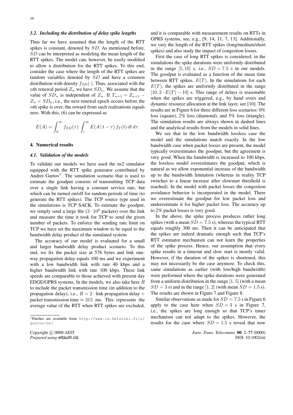#### *3.2. Including the distribution of delay spike lengths*

Thus far we have assumed that the length of the RTT spikes is constant, denoted by SD. As mentioned before, SD can be interpreted as modeling the mean length of the RTT spikes. The model can, however, be easily modified to allow a distribution for the RTT spikes. To this end, consider the case where the length of the RTT spikes are random variables denoted by SD and have a common distribution with density  $f_{SD}(\cdot)$ . Thus, associated with the *nth* renewal period  $Z_n$  we have  $SD_n$ . We assume that the value of  $SD_n$  is independent of  $Z_n$ . If  $T_{n+1} = Z_{n+1}$  –  $Z_n$  <  $SD_n$ , i.e., the next renewal epoch occurs before the nth spike is over, the reward from such realizations equals zero. With this, (6) can be expressed as

$$
E(A) = \int_0^\infty f_{SD}(\tau) \int_\tau^\infty E(A \mid t - \tau) f_T(t) dt d\tau.
$$

#### 4. Numerical results

#### *4.1. Validation of the models*

To validate our models we have used the ns2 simulator equipped with the RTT spike generator contributed by Andrei Gurtov<sup>∗</sup> . The simulation scenario that is used to estimate the goodput consists of transmitting TCP data over a single link having a constant service rate, but which can be turned on/off for random periods of time (to generate the RTT spikes). The TCP source type used in the simulations is TCP SACK. To estimate the goodput, we simply send a large file  $(3 \cdot 10^6$  packets) over the link and measure the time it took for TCP to send the given number of packets. To enforce the sending rate limit on TCP we have set the maximum window to be equal to the bandwidth delay product of the simulated system.

The accuracy of our model is evaluated for a small and larger bandwidth delay product scenario. To this end, we fix the packet size at 576 bytes and link oneway propagation delay equals 100 ms and we experiment with a low bandwidth link with rate 40 kbps and a higher bandwidth link with rate 100 kbps. These link speeds are comparable to those achieved with present day EDGE/GPRS systems. In the models, we also take here  $R$ to include the packet transmission time (in addition to the propagation delay), i.e.,  $R = 2 \cdot \text{link propagation delay} +$ packet transmission time  $\approx 315$  ms. This represents the average value of the RTT when RTT spikes are excluded,

and it is comparable with measurement results on RTTs in GPRS systems, see, e.g., [9, 14, 11, 7, 13]. Additionally, we vary the length of the RTT spikes (long/medium/short spikes) and also study the impact of congestion losses.

First the case of long RTT spikes is considered; in the simulations the spike durations were uniformly distributed in the range  $[5, 10]$  s, i.e.,  $SD = 7.5$  s in our models. The goodput is evaluated as a function of the mean time between RTT spikes,  $E(T)$ . In the simulations for each  $E(T)$ , the spikes are uniformly distributed in the range  $[10, 2 \cdot E(T) - 10]$  s. This range of delays is reasonable when the spikes are triggered, e.g., by hand overs and dynamic resource allocation at the link layer, see [10]. The results are in Figure 6 for three different loss scenarios: 0% loss (square), 2% loss (diamond), and 5% loss (triangle). The simulation results are always shown in dashed lines and the analytical results from the models in solid lines.

We see that in the low bandwidth lossless case the model and the simulations match exactly. In the low bandwidth case when packet losses are present, the model typically overestimates the goodput, but the agreement is very good. When the bandwidth is increased to 100 kbps, the lossless model overestimates the goodput, which is natural as we allow exponential increase of the bandwidth up to the bandwidth limitation (whereas in reality TCP switches to a linear increase after slowstart threshold is reached). In the model with packet losses the congestion avoidance behavior is incorporated in the model. There we overestimate the goodput for low packet loss and underestimate it for higher packet loss. The accuracy up to 2% packet losses is very good.

In the above, the spike process produces rather long spikes (with a mean  $SD = 7.5$  s), whereas the typical RTT equals roughly 300 ms. Then it can be anticipated that the spikes are indeed dramatic enough such that TCP's RTT estimator mechanism can not learn the properties of the spike process. Hence, our assumption that every spike results in a timeout and slow start is mostly valid. However, if the duration of the spikes is shortened, this may not necessarily be the case anymore. To check this, same simulations as earlier (with low/high bandwidth) were performed where the spike durations were generated from a uniform distribution in the range  $[1, 5]$  (with a mean  $SD = 3$  s) and in the range [1, 2] (with mean  $SD = 1.5$  s). The results are shown in Figure 7 and Figure 8.

Similar observations as made for  $SD = 7.5$  s in Figure 6 apply to the case here when  $SD = 3$  s in Figure 7, i.e., the spikes are long enough so that TCP's timer mechanism can not adapt to the spikes. However, the results for the case where  $SD = 1.5$  s reveal that now

<sup>∗</sup>Patches are available from http://www.cs.helsinki.fi/u/ gurtov/ns/

Copyright  $\odot$  0000 AEIT *Prepared using ettauth.cls*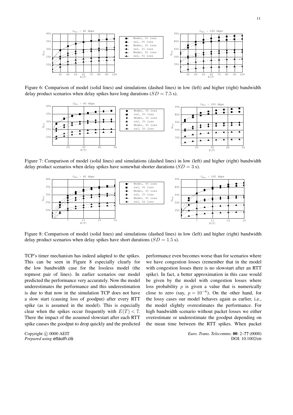

Figure 6: Comparison of model (solid lines) and simulations (dashed lines) in low (left) and higher (right) bandwidth delay product scenarios when delay spikes have long durations  $(SD = 7.5 \text{ s})$ .



Figure 7: Comparison of model (solid lines) and simulations (dashed lines) in low (left) and higher (right) bandwidth delay product scenarios when delay spikes have somewhat shorter durations  $(SD = 3 s)$ .



Figure 8: Comparison of model (solid lines) and simulations (dashed lines) in low (left) and higher (right) bandwidth delay product scenarios when delay spikes have short durations  $(SD = 1.5 \text{ s})$ .

TCP's timer mechanism has indeed adapted to the spikes. This can be seen in Figure 8 especially clearly for the low bandwidth case for the lossless model (the topmost pair of lines). In earlier scenarios our model predicted the performance very accurately. Now the model underestimates the performance and this underestimation is due to that now in the simulation TCP does not have a slow start (causing loss of goodput) after every RTT spike (as is assumed in the model). This is especially clear when the spikes occur frequently with  $E(T) < 7$ . There the impact of the assumed slowstart after each RTT spike causes the goodput to drop quickly and the predicted

Copyright © 0000 AEIT *Prepared using ettauth.cls*

performance even becomes worse than for scenarios where we have congestion losses (remember that in the model with congestion losses there is no slowstart after an RTT spike). In fact, a better approximation in this case would be given by the model with congestion losses where loss probability  $p$  is given a value that is numerically close to zero (say,  $p = 10^{-6}$ ). On the other hand, for the lossy cases our model behaves again as earlier, i.e., the model slightly overestimates the performance. For high bandwidth scenario without packet losses we either overestimate or underestimate the goodput depending on the mean time between the RTT spikes. When packet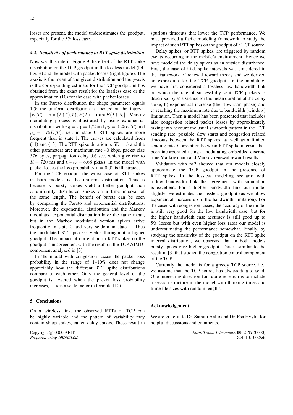losses are present, the model underestimates the goodput, especially for the 5% loss case.

## *4.2. Sensitivity of performance to RTT spike distribution*

Now we illustrate in Figure 9 the effect of the RTT spike distribution on the TCP goodput in the lossless model (left figure) and the model with packet losses (right figure). The x-axis is the mean of the given distribution and the y-axis is the corresponding estimate for the TCP goodput in bps obtained from the exact result for the lossless case or the approximation (10) for the case with packet losses.

In the Pareto distribution the shape parameter equals 1.5; the uniform distribution is located at the interval  $[E(T) - min(E(T), 5), E(T) + min(E(T), 5)]$ . Markov modulating process is illustrated by using exponential distributions with  $\pi_0 = \pi_1 = 1/2$  and  $\mu_0 = 0.25E(T)$  and  $\mu_1 = 1.75E(T)$ , i.e., in state 0 RTT spikes are more frequent than in state 1. The curves are calculated from (11) and (13). The RTT spike duration is  $SD = 5$  and the other parameters are: maximum rate 40 kbps, packet size 576 bytes, propagation delay 0.6 sec, which give rise to  $R = 720$  ms and  $C_{\text{max}} = 8.68$  pkts/s. In the model with packet losses the loss probability  $p = 0.02$  is illustrated.

For the TCP goodput the worst case of RTT spikes in both models is the uniform distribution. This is because  $n$  bursty spikes yield a better goodput than n uniformly distributed spikes on a time interval of the same length. The benefit of bursts can be seen by comparing the Pareto and exponential distributions. Moreover, the exponential distribution and the Markov modulated exponential distribution have the same mean, but in the Markov modulated version spikes arrive frequently in state 0 and very seldom in state 1. Thus the modulated RTT process yields throughout a higher goodput. The impact of correlation in RTT spikes on the goodput is in agreement with the result on the TCP AIMDcomponent analyzed in [3].

In the model with congestion losses the packet loss probability in the range of 1–10% does not change appreciably how the different RTT spike distributions compare to each other. Only the general level of the goodput is lowered when the packet loss probability increases, as  $p$  is a scale factor in formula (10).

#### 5. Conclusions

On a wireless link, the observed RTTs of TCP can be highly variable and the pattern of variability may contain sharp spikes, called delay spikes. These result in

Copyright © 0000 AEIT *Prepared using ettauth.cls* spurious timeouts that lower the TCP performance. We have provided a facile modeling framework to study the impact of such RTT spikes on the goodput of a TCP source.

Delay spikes, or RTT spikes, are triggered by random events occurring in the mobile's environment. Hence we have modeled the delay spikes as an outside disturbance. First, the case of i.i.d. spike intervals was considered in the framework of renewal reward theory and we derived an expression for the TCP goodput. In the modeling, we have first considered a lossless low bandwidth link on which the rate of successfully sent TCP packets is described by a) a silence for the mean duration of the delay spike, b) exponential increase (the slow start phase) and c) reaching the maximum rate due to bandwidth (window) limitation. Then a model has been presented that includes also congestion related packet losses by approximately taking into account the usual sawtooth pattern in the TCP sending rate, possible slow starts and congestion related timeouts between the RTT spikes, as well as a limited sending rate. Correlation between RTT spike intervals has been incorporated using a modulating embedded discrete time Markov chain and Markov renewal reward results.

Validation with ns2 showed that our models closely approximate the TCP goodput in the presence of RTT spikes. In the lossless modeling scenario with a low bandwidth link the agreement with simulation is excellent. For a higher bandwidth link our model slightly overestimates the lossless goodput (as we allow exponential increase up to the bandwidth limitation). For the cases with congestion losses, the accuracy of the model is still very good for the low bandwidth case, but for the higher bandwidth case accuracy is still good up to 5% losses but with even higher loss rates our model is underestimating the performance somewhat. Finally, by studying the sensitivity of the goodput on the RTT spike interval distribution, we observed that in both models bursty spikes give higher goodput. This is similar to the result in [3] that studied the congestion control component of the TCP.

Currently the model is for a greedy TCP source, i.e., we assume that the TCP source has always data to send. One interesting direction for future research is to include a session structure in the model with thinking times and finite file sizes with random lengths.

#### Acknowledgement

We are grateful to Dr. Samuli Aalto and Dr. Esa Hyytiä for helpful discussions and comments.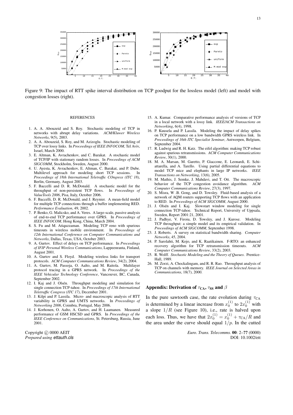

Figure 9: The impact of RTT spike interval distribution on TCP goodput for the lossless model (left) and model with congestion losses (right).

#### **REFERENCES**

- 1. A. A. Abouzeid and S. Roy. Stochastic modeling of TCP in networks with abrupt delay variations. *ACM/Kluwer Wireless Networks*, 9(5), 2003.
- 2. A. A. Abouzeid, S. Roy, and M. Azizoglu. Stochastic modeling of TCP over lossy links. In *Proceedings of IEEE INFOCOM*, Tel Aviv, Israel, March 2000.
- 3. E. Altman, K. Avrachenkov, and C. Barakat. A stochastic model of TCP/IP with stationary random losses. In *Proceedings of ACM SIGCOMM*, Stockholm, Sweden, August 2000.
- 4. U. Ayesta, K. Avrachenkov, E. Altman, C. Barakat, and P. Dube. Multilevel approach for modeling short TCP sessions. In *Proceedings of 18th International Teletraffic COngress (ITC 18)*, Berlin, Germany, August 2003.
- 5. F. Baccelli and D. R. McDonald. A stochastic model for the throughput of non-persistent TCP flows. In *Proceedings of* throughput of non-persistent TCP flows. *ValueTools 2006*, Pisa, Italy, October 2006.
- 6. F. Baccelli, D. R. McDonald, and J. Reynier. A mean-field model for multiple TCP connections through a buffer implementing RED. *Performance Evaluation*, 49, 2002.
- 7. P. Benko, G. Malicsko, and A. Veres. A large-scale, passive analysis of end-to-end TCP performance over GPRS. In *Proceedings of IEEE INFOCOM*, Hong Kong, China, March 2004.
- 8. S. Fu and M. Atiquzzaman. Modeling TCP reno with spurious timeouts in wireless mobile environment. In *Proceedings of 12th International Conference on Computer Communications and Networks*, Dallas, Texas, USA, October 2003.
- 9. A. Gurtov. Effect of delays on TCP performance. In *Proceedings of IFIP Personal Wireless Communications*, Lappeenranta, Finland, August 2001.
- 10. A. Gurtov and S. Floyd. Modeling wireless links for transport protocols. *ACM Computer Communications Review*, 34(2), 2004.
- 11. A. Gurtov, M. Passoja, O. Aalto, and M. Raitola. Multilayer protocol tracing in a GPRS network. In *Proceedings of the IEEE Vehicular Technology Conference*, Vancouver, BC, Canada, September 2002.
- 12. I. Kaj and J. Olsén. Throughput modeling and simulation for single connection TCP-tahoe. In *Proceedings of 17th International Teletraffic Congress (ITC 17)*, December 2001.
- 13. J. Kilpi and P. Lassila. Micro- and macroscopic analysis of RTT variability in GPRS and UMTS networks. In *Proceedings of Networking 2006*, Coimbra, Portugal, May 2006.
- 14. J. Korhonen, O. Aalto, A. Gurtov, and H. Laamanen. Measured performance of GSM HSCSD and GPRS. In *Proceedings of the IEEE Conference on Communications*, St. Petersburg, Russia, June 2001.

Copyright  $\odot$  0000 AEIT *Prepared using ettauth.cls*

- 15. A. Kumar. Comparative performance analysis of versions of TCP in a local network with a lossy link. *IEEE/ACM Transactions on Networking*, 6(4), 1998.
- 16. P. Kuusela and P. Lassila. Modeling the impact of delay spikes on TCP performance on a low bandwidth GPRS wireless link. In *Proceedings of 16th ITC Specialist Seminar*, Antwerpen, Belgium, September 2004.
- 17. R. Ludwig and R. H. Katz. The eifel algorithm: making TCP robust against spurious retransmissions. *ACM Computer Communications Review*, 30(1), 2000.
- 18. M. A. Marsan, M. Garetto, P. Giaccone, E. Leonardi, E. Schiattarella, and A. Tarello. Using partial differential equations to model TCP mice and elephants in large IP networks. *IEEE Transactions on Networking*, 13(6), 2005.
- 19. M. Mathis, J. Semke, J. Mahdavi, and T. Ott. The macroscopic behavior of the TCP congestion avoidance algorithm. *ACM Computer Communications Review*, 27(3), 1997.
- 20. S. Misra, W .B. Gong, and D. Towsley. Fluid-based analysis of a network of AQM routers supporting TCP flows with an application to RED. In *Proceedings of ACM SIGCOMM*, August 2000.
- 21. J. Olsén and I. Kaj. Slowstart window modeling for single connection TCP-tahoe. Technical Report, University of Uppsala, Sweden, Report 2001:21, 2001.
- 22. J. Padhye, V. Firoiu, D. Towsley, and J. Kurose. Modeling TCP throughput: a simple model and its empirical validation. In *Proceedings of ACM SIGCOMM*, September 1998.
- 23. J. Roberts. A survey on statistical bandwidth sharing. *Computer Networks*, 45, 2004.
- 24. P. Sarolahti, M. Kojo, and K. Raatikainen. F-RTO: an enhanced recovery algorithm for TCP retransmission timeouts. *ACM Computer Communications Review*, 33(2), 2003.
- 25. R. Wolff. *Stochastic Modeling and the Theory of Queues*. Prentice-Hall, 1989.
- 26. M. Zorzi, A. Chockalingam, and R. R. Rao. Throughput analysis of TCP on channels with memory. *IEEE Journal on Selected Areas in Communications*, 18(7), 2000.

### Appendix: Derivation of  $\tau_{CA}$ ,  $\tau_{SS}$  and  $\beta$

In the pure sawtooth case, the rate evolution during  $\tau_{CA}$ is determined by a linear increase from  $x_0^{(1)}$  to  $2x_0^{(1)}$  with a slope  $1/R$  (see Figure 10), i.e., rate is halved upon each loss. Thus, we have that  $2x_0^{(1)} = x_0^{(1)} + \tau_{CA}/R$  and the area under the curve should equal  $1/p$ . In the cutted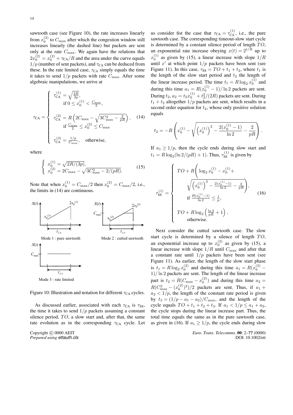sawtooth case (see Figure 10), the rate increases linearly from  $x_0^{(2)}$  to  $C_{\text{max}}$  after which the congestion window still increases linearly (the dashed line) but packets are sent only at the rate  $C_{\text{max}}$ . We again have the relations that  $2x_0^{(2)} = x_0^{(2)} + \tau_{CA}/R$  and the area under the curve equals  $1/p$  (number of sent packets), and  $\tau_{CA}$  can be deduced from these. In the rate limited case,  $\tau_{CA}$  simply equals the time it takes to send  $1/p$  packets with rate  $C_{\text{max}}$ . After some algebraic manipulations, we arrive at

$$
\tau_{\rm CA} = \begin{cases}\n\tau_{\rm CA}^{(1)} = \sqrt{\frac{2R}{3p}},\\
\text{if } 0 \le x_0^{(1)} < \frac{C_{\rm max}}{2},\\
\tau_{\rm CA}^{(2)} = R \left( 2C_{\rm max} - \sqrt{3C_{\rm max}^2 - \frac{2}{pR}} \right),\\
\text{if } \frac{C_{\rm max}}{2} \le x_0^{(2)} \le C_{\rm max}\\
\tau_{\rm CA}^{(3)} = \frac{1/p}{C_{\rm max}}, \quad \text{otherwise,}\n\end{cases}
$$
\n(14)

where

$$
\begin{cases}\nx_0^{(1)} = \sqrt{2R/(3p)}, \\
x_0^{(2)} = 2C_{\text{max}} - \sqrt{3C_{\text{max}}^2 - 2/(pR)}.\n\end{cases}
$$
\n(15)

Note that when  $x_0^{(1)} = C_{\text{max}}/2$  then  $x_0^{(2)} = C_{\text{max}}/2$ , i.e., the limits in (14) are continuous.



Figure 10: Illustration and notation for different  $\tau_{CA}$  cycles.

As discussed earlier, associated with each  $\tau_{CA}$  is  $\tau_{SS}$ , the time it takes to send  $1/p$  packets assuming a constant silence period,  $TO$ , a slow start and, after that, the same rate evolution as in the corresponding  $\tau_{CA}$  cycle. Let

Copyright © 0000 AEIT *Prepared using ettauth.cls*

us consider fist the case that  $\tau_{CA} = \tau_{CA}^{(1)}$ , i.e., the pure sawtooth case. The corresponding timeout-slow start cycle is determined by a constant silence period of length  $TO$ , an exponential rate increase obeying  $x(t) = 2^{t/R}$  up to  $x_0^{(1)}$  as given by (15), a linear increase with slope  $1/R$ until  $x'$  at which point  $1/p$  packets have been sent (see Figure 11). In this case,  $\tau_{SS} = TO + t_1 + t_2$ , where  $t_1$  is the length of the slow start period and  $t_2$  the length of the linear increase period. The time  $t_1 = R \log_2 x_0^{(1)}$  and during this time  $a_1 = R(x_0^{(1)} - 1)/\ln 2$  packets are sent. During  $t_2$ ,  $a_2 = t_2 x_0^{(1)} + t_2^2/(2R)$  packets are sent. During  $t_1 + t_2$  altogether  $1/p$  packets are sent, which results in a second order equation for  $t_2$ , whose only positive solution equals

$$
t_2 = -R\left(x_0^{(1)} - \sqrt{\left(x_0^{(1)}\right)^2 - \frac{2(x_0^{(1)} - 1)}{\ln 2} - \frac{2}{pR}}\right).
$$

If  $a_1 \geq 1/p$ , then the cycle ends during slow start and  $t_1 = R \log_2(\ln 2/(pR) + 1)$ . Thus,  $\tau_{SS}^{(1)}$  is given by

$$
\tau_{\text{SS}}^{(1)} = \begin{cases}\nTO + R\left(\log_2 x_0^{(1)} - x_0^{(1)} + \sqrt{\left(x_0^{(1)}\right)^2 - \frac{2(x_0^{(1)} - 1)}{\ln 2} - \frac{2}{pR}}\right), \\
\text{if } \frac{R(x_0^{(1)} - 1)}{\ln 2} \le \frac{1}{p}, \\
TO + R\log_2\left(\frac{\ln 2}{pR} + 1\right), \\
\text{otherwise.} \n\end{cases} \tag{16}
$$

Next consider the cutted sawtooth case. The slow start cycle is determined by a silence of length  $TO$ , an exponential increase up to  $x_0^{(2)}$  as given by (15), a linear increase with slope  $1/R$  until  $C_{\text{max}}$  and after that a constant rate until  $1/p$  packets have been sent (see Figure 11). As earlier, the length of the slow start phase is  $t_1 = R \log_2 x_0^{(2)}$  and during this time  $a_1 = R(x_0^{(2)} -$ 1)/ ln 2 packets are sent. The length of the linear increase part is  $t_2 = R(C_{\text{max}} - x_0^{(2)})$  and during this time  $a_2 =$  $R(C_{\text{max}}^2 - (x_0^{(2)})^2)/2$  packets are sent. Thus, if  $a_1 +$  $a_2 < 1/p$ , the length of the constant rate period is given by  $t_3 = (1/p - a_1 - a_2)/C_{\text{max}}$ , and the length of the cycle equals  $TO + t_1 + t_2 + t_3$ . If  $a_1 < 1/p \le a_1 + a_2$ , the cycle stops during the linear increase part. Thus, the total time equals the same as in the pure sawtooth case, as given in (16). If  $a_1 \geq 1/p$ , the cycle ends during slow